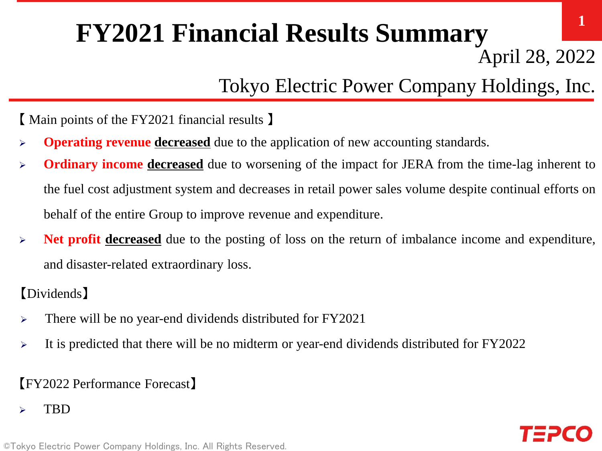# **FY2021 Financial Results Summary**

April 28, 2022

**1**

# Tokyo Electric Power Company Holdings, Inc.

【 Main points of the FY2021 financial results 】

- **Operating revenue decreased** due to the application of new accounting standards.
- **Ordinary income decreased** due to worsening of the impact for JERA from the time-lag inherent to the fuel cost adjustment system and decreases in retail power sales volume despite continual efforts on behalf of the entire Group to improve revenue and expenditure.
- **Net profit decreased** due to the posting of loss on the return of imbalance income and expenditure, and disaster-related extraordinary loss.

【Dividends】

- > There will be no year-end dividends distributed for FY2021
- $\triangleright$  It is predicted that there will be no midterm or year-end dividends distributed for FY2022

## 【FY2022 Performance Forecast】

TBD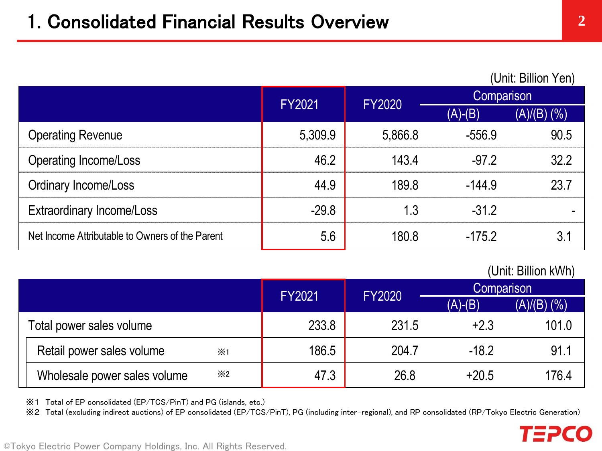#### (Unit: Billion Yen)

|                                                 | <b>FY2021</b> | <b>FY2020</b> | Comparison |                   |
|-------------------------------------------------|---------------|---------------|------------|-------------------|
|                                                 |               |               | $(A)-(B)$  | $(A)/(B)$ $(\% )$ |
| <b>Operating Revenue</b>                        | 5,309.9       | 5,866.8       | $-556.9$   | 90.5              |
| <b>Operating Income/Loss</b>                    | 46.2          | 143.4         | $-97.2$    | 32.2              |
| <b>Ordinary Income/Loss</b>                     | 44.9          | 189.8         | $-144.9$   | 23.7              |
| <b>Extraordinary Income/Loss</b>                | $-29.8$       | 1.3           | $-31.2$    |                   |
| Net Income Attributable to Owners of the Parent | 5.6           | 180.8         | $-175.2$   | 3.1               |

### (Unit: Billion kWh)

TEPCO

|                                            | <b>FY2021</b> | <b>FY2020</b> |           | Comparison       |  |
|--------------------------------------------|---------------|---------------|-----------|------------------|--|
|                                            |               |               | $(A)-(B)$ | $(A)/(B)$ $(\%)$ |  |
| Total power sales volume                   | 233.8         | 231.5         | $+2.3$    | 101.0            |  |
| Retail power sales volume<br>$\times 1$    | 186.5         | 204.7         | $-18.2$   | 91.1             |  |
| $\times 2$<br>Wholesale power sales volume | 47.3          | 26.8          | $+20.5$   | 176.4            |  |

※1 Total of EP consolidated (EP/TCS/PinT) and PG (islands, etc.)

※2 Total (excluding indirect auctions) of EP consolidated (EP/TCS/PinT), PG (including inter-regional), and RP consolidated (RP/Tokyo Electric Generation)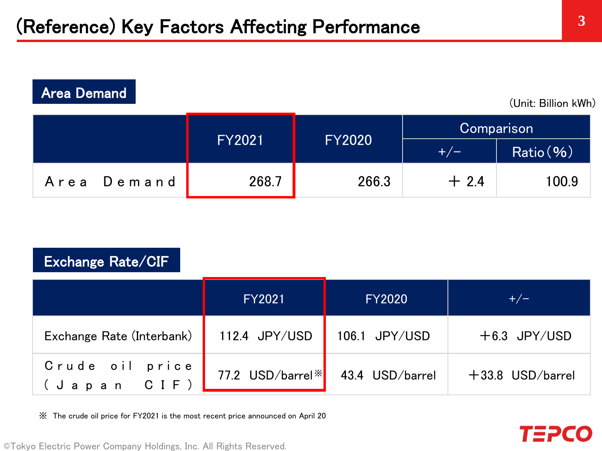| <b>Area Demand</b><br>(Unit: Billion kWh) |               |               |        |            |  |            |
|-------------------------------------------|---------------|---------------|--------|------------|--|------------|
|                                           |               |               |        |            |  | Comparison |
|                                           | <b>FY2021</b> | <b>FY2020</b> | $+/-$  | Ratio ( %) |  |            |
| Area Demand                               | 268.7         | 266.3         | $+2.4$ | 100.9      |  |            |

## Exchange Rate/CIF

|                                | <b>FY2021</b>                | <b>FY2020</b>   | $+/-$              |
|--------------------------------|------------------------------|-----------------|--------------------|
| Exchange Rate (Interbank)      | 112.4 JPY/USD                | 106.1 JPY/USD   | $+6.3$ JPY/USD     |
| Crude oil price<br>(Japan CIF) | 77.2 USD/barrel <sup>*</sup> | 43.4 USD/barrel | $+33.8$ USD/barrel |

※ The crude oil price for FY2021 is the most recent price announced on April 20

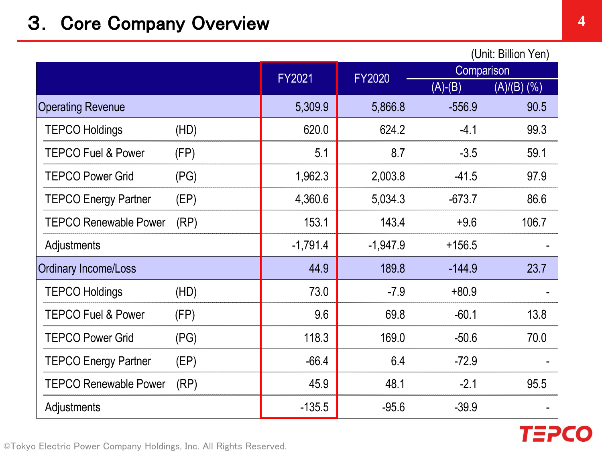## 3. Core Company Overview **4**

|            |            |               | (Unit: Billion Yen)      |
|------------|------------|---------------|--------------------------|
|            |            | Comparison    |                          |
|            |            | $(A)-(B)$     | $\overline{(A)/(B)}$ (%) |
| 5,309.9    | 5,866.8    | $-556.9$      | 90.5                     |
| 620.0      | 624.2      | $-4.1$        | 99.3                     |
| 5.1        | 8.7        | $-3.5$        | 59.1                     |
| 1,962.3    | 2,003.8    | $-41.5$       | 97.9                     |
| 4,360.6    | 5,034.3    | $-673.7$      | 86.6                     |
| 153.1      | 143.4      | $+9.6$        | 106.7                    |
| $-1,791.4$ | $-1,947.9$ | $+156.5$      |                          |
| 44.9       | 189.8      | $-144.9$      | 23.7                     |
| 73.0       | $-7.9$     | $+80.9$       |                          |
| 9.6        | 69.8       | $-60.1$       | 13.8                     |
| 118.3      | 169.0      | $-50.6$       | 70.0                     |
| $-66.4$    | 6.4        | $-72.9$       |                          |
| 45.9       | 48.1       | $-2.1$        | 95.5                     |
| $-135.5$   | $-95.6$    | $-39.9$       |                          |
|            | FY2021     | <b>FY2020</b> |                          |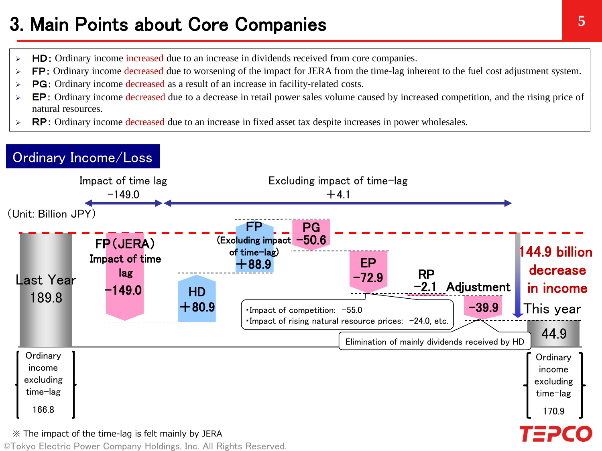## 3. Main Points about Core Companies

- $\triangleright$  HD: Ordinary income increased due to an increase in dividends received from core companies.
- **FP:** Ordinary income decreased due to worsening of the impact for JERA from the time-lag inherent to the fuel cost adjustment system.
- $\triangleright$  **PG**: Ordinary income decreased as a result of an increase in facility-related costs.
- $\triangleright$  EP: Ordinary income decreased due to a decrease in retail power sales volume caused by increased competition, and the rising price of natural resources.
- $\triangleright$  RP: Ordinary income decreased due to an increase in fixed asset tax despite increases in power wholesales.

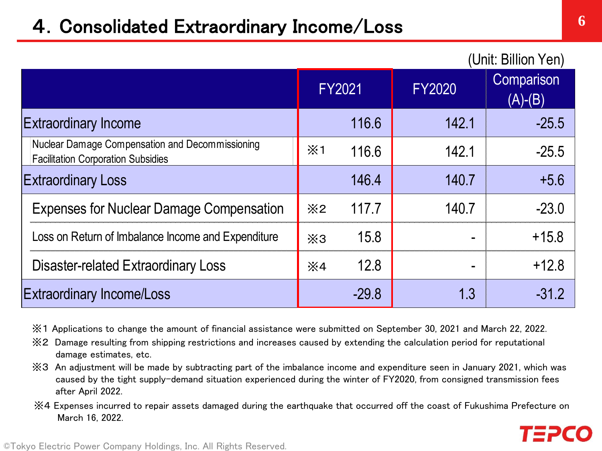## 4.Consolidated Extraordinary Income/Loss

|                                                                                              |                |         |               | UIIII. DIIIIUII TEII <i>I</i>      |
|----------------------------------------------------------------------------------------------|----------------|---------|---------------|------------------------------------|
|                                                                                              |                | FY2021  | <b>FY2020</b> | Comparison<br>$(A)-\overline{(B)}$ |
| <b>Extraordinary Income</b>                                                                  |                | 116.6   | 142.1         | $-25.5$                            |
| Nuclear Damage Compensation and Decommissioning<br><b>Facilitation Corporation Subsidies</b> | $\times 1$     | 116.6   | 142.1         | $-25.5$                            |
| <b>Extraordinary Loss</b>                                                                    |                | 146.4   | 140.7         | $+5.6$                             |
| <b>Expenses for Nuclear Damage Compensation</b>                                              | X <sub>2</sub> | 117.7   | 140.7         | $-23.0$                            |
| Loss on Return of Imbalance Income and Expenditure                                           | X3             | 15.8    |               | $+15.8$                            |
| Disaster-related Extraordinary Loss                                                          | $\times 4$     | 12.8    |               | $+12.8$                            |
| <b>Extraordinary Income/Loss</b>                                                             |                | $-29.8$ | 1.3           | $-31.2$                            |

※1 Applications to change the amount of financial assistance were submitted on September 30, 2021 and March 22, 2022.

- ※2 Damage resulting from shipping restrictions and increases caused by extending the calculation period for reputational damage estimates, etc.
- ※3 An adjustment will be made by subtracting part of the imbalance income and expenditure seen in January 2021, which was caused by the tight supply-demand situation experienced during the winter of FY2020, from consigned transmission fees after April 2022.
- ※4 Expenses incurred to repair assets damaged during the earthquake that occurred off the coast of Fukushima Prefecture on March 16, 2022.

 $\left( \right)$ llion  $\left( \right)$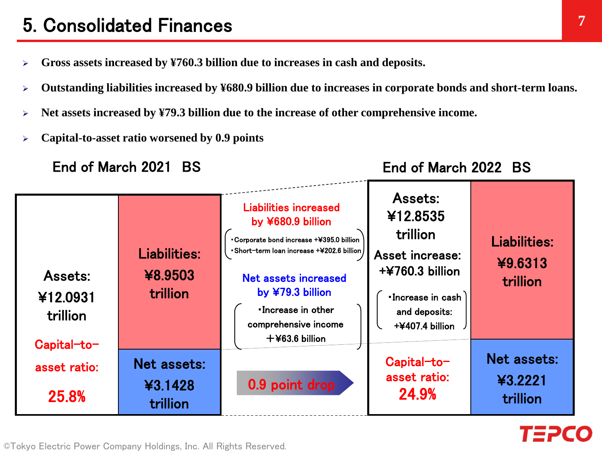## **7** 5. Consolidated Finances

- **Gross assets increased by ¥760.3 billion due to increases in cash and deposits.**
- **Outstanding liabilities increased by ¥680.9 billion due to increases in corporate bonds and short-term loans.**
- **Net assets increased by ¥79.3 billion due to the increase of other comprehensive income.**
- **Capital-to-asset ratio worsened by 0.9 points**

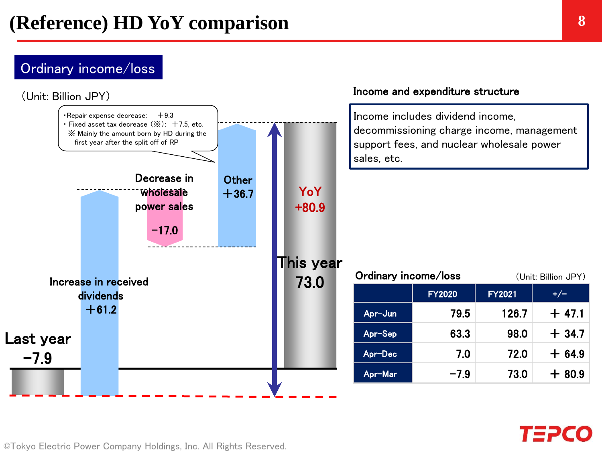### Ordinary income/loss



©Tokyo Electric Power Company Holdings, Inc. All Rights Reserved.

TEPC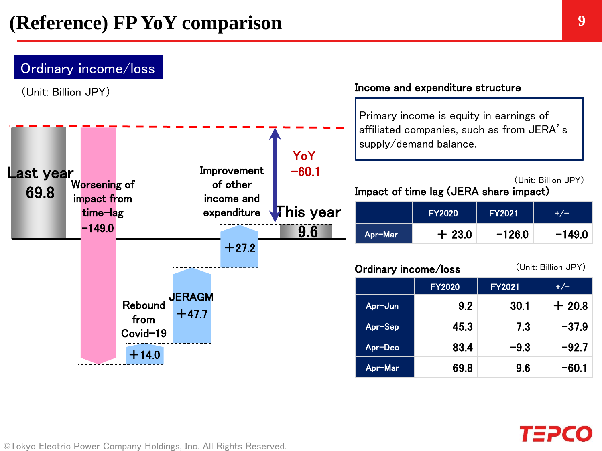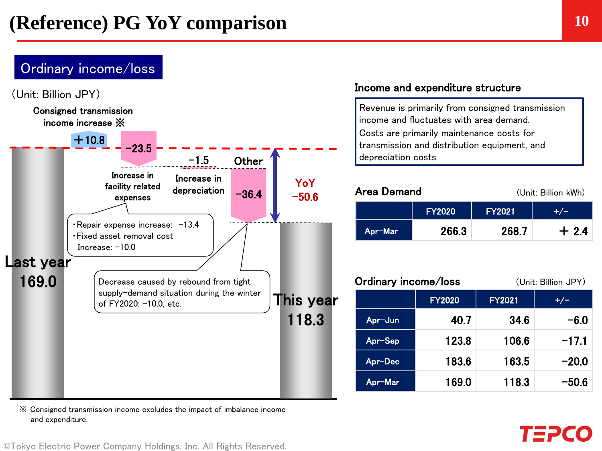### Ordinary income/loss



※ Consigned transmission income excludes the impact of imbalance income and expenditure.

#### Income and expenditure structure

Revenue is primarily from consigned transmission income and fluctuates with area demand. Costs are primarily maintenance costs for transmission and distribution equipment, and depreciation costs

| Area Demand |               | (Unit: Billion kWh) |        |
|-------------|---------------|---------------------|--------|
|             | <b>FY2020</b> | <b>FY2021</b>       |        |
| Apr-Mar     | 266.3         | 268.7               | $+2.4$ |

| Ordinary income/loss |               | (Unit: Billion JPY) |         |
|----------------------|---------------|---------------------|---------|
|                      | <b>FY2020</b> | <b>FY2021</b>       | $+/-$   |
| Apr-Jun              | 40.7          | 34.6                | $-6.0$  |
| Apr-Sep              | 123.8         | 106.6               | $-17.1$ |
| Apr-Dec              | 183.6         | 163.5               | $-20.0$ |
| Apr-Mar              | 169.0         | 118.3               | $-50.6$ |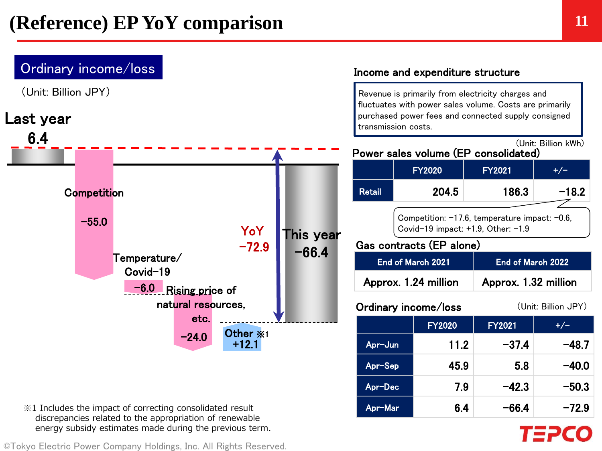

※1 Includes the impact of correcting consolidated result discrepancies related to the appropriation of renewable energy subsidy estimates made during the previous term.

©Tokyo Electric Power Company Holdings, Inc. All Rights Reserved.

Apr-Mar 6.4  $-66.4$   $-72.9$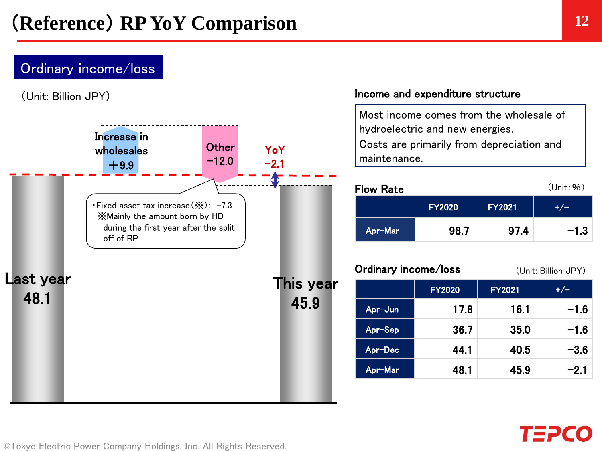## Ordinary income/loss

(Unit: Billion JPY)



#### Income and expenditure structure

Most income comes from the wholesale of hydroelectric and new energies. Costs are primarily from depreciation and maintenance.

| <b>Flow Rate</b> |               |               | (Unit: %) |
|------------------|---------------|---------------|-----------|
|                  | <b>FY2020</b> | <b>FY2021</b> |           |
| Apr-Mar          | 98.7          | 97.4          | $-1.3$    |

#### Ordinary income/loss (Unit: Billion JPY)

|         | <b>FY2020</b> | <b>FY2021</b> | $+/-$  |
|---------|---------------|---------------|--------|
| Apr-Jun | 17.8          | 16.1          | $-1.6$ |
| Apr-Sep | 36.7          | 35.0          | $-1.6$ |
| Apr-Dec | 44.1          | 40.5          | $-3.6$ |
| Apr-Mar | 48.1          | 45.9          | $-2.1$ |

# TΞi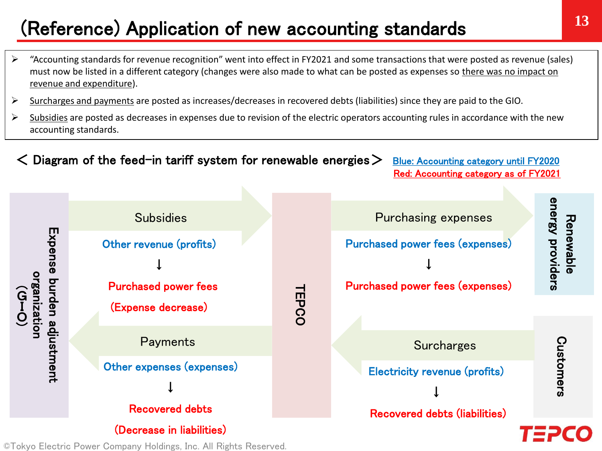# **<sup>13</sup>** (Reference) Application of new accounting standards

- "Accounting standards for revenue recognition" went into effect in FY2021 and some transactions that were posted as revenue (sales) must now be listed in a different category (changes were also made to what can be posted as expenses so there was no impact on revenue and expenditure).
- $\triangleright$  Surcharges and payments are posted as increases/decreases in recovered debts (liabilities) since they are paid to the GIO.
- $\triangleright$  Subsidies are posted as decreases in expenses due to revision of the electric operators accounting rules in accordance with the new accounting standards.